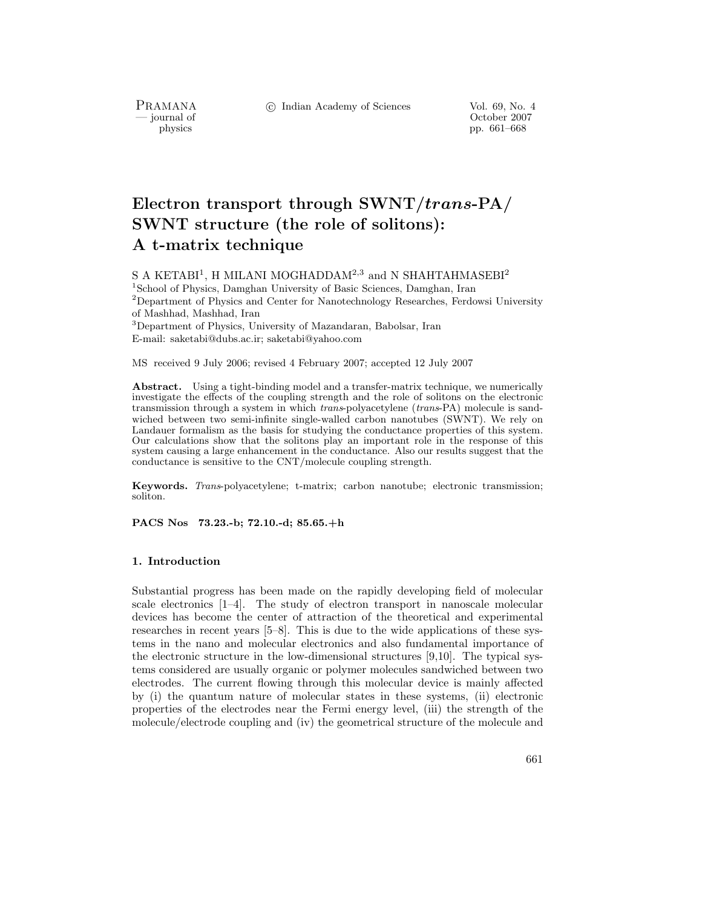c Indian Academy of Sciences Vol. 69, No. 4

PRAMANA<br>— journal of

physics and the contract of the contract of the contract of the contract of the contract of the contract of the contract of the contract of the contract of the contract of the contract of the contract of the contract of th physics pp. 661–668

# **Electron transport through SWNT/***trans***-PA/** A t-matrix technique **A t-matrix technique**

S A KETABI<sup>1</sup>, H MILANI MOGHADDAM<sup>2,3</sup> and N SHAHTAHMASEBI<sup>2</sup>

<sup>1</sup>School of Physics, Damghan University of Basic Sciences, Damghan, Iran <sup>2</sup>Department of Physics and Center for Nanotechnology Researches, Ferdowsi University of Mashhad, Mashhad, Iran

<sup>3</sup>Department of Physics, University of Mazandaran, Babolsar, Iran E-mail: saketabi@dubs.ac.ir; saketabi@yahoo.com

MS received 9 July 2006; revised 4 February 2007; accepted 12 July 2007

**Abstract.** Using a tight-binding model and a transfer-matrix technique, we numerically investigate the effects of the coupling strength and the role of solitons on the electronic transmission through a system in which *trans*-polyacetylene (*trans*-PA) molecule is sandwiched between two semi-infinite single-walled carbon nanotubes (SWNT). We rely on Landauer formalism as the basis for studying the conductance properties of this system. Our calculations show that the solitons play an important role in the response of this system causing a large enhancement in the conductance. Also our results suggest that the conductance is sensitive to the CNT/molecule coupling strength.

**Keywords.** *Trans*-polyacetylene; t-matrix; carbon nanotube; electronic transmission; soliton.

**PACS Nos 73.23.-b; 72.10.-d; 85.65.+h**

## **1. Introduction**

Substantial progress has been made on the rapidly developing field of molecular scale electronics [1–4]. The study of electron transport in nanoscale molecular devices has become the center of attraction of the theoretical and experimental researches in recent years [5–8]. This is due to the wide applications of these systems in the nano and molecular electronics and also fundamental importance of the electronic structure in the low-dimensional structures [9,10]. The typical systems considered are usually organic or polymer molecules sandwiched between two electrodes. The current flowing through this molecular device is mainly affected by (i) the quantum nature of molecular states in these systems, (ii) electronic properties of the electrodes near the Fermi energy level, (iii) the strength of the molecule/electrode coupling and (iv) the geometrical structure of the molecule and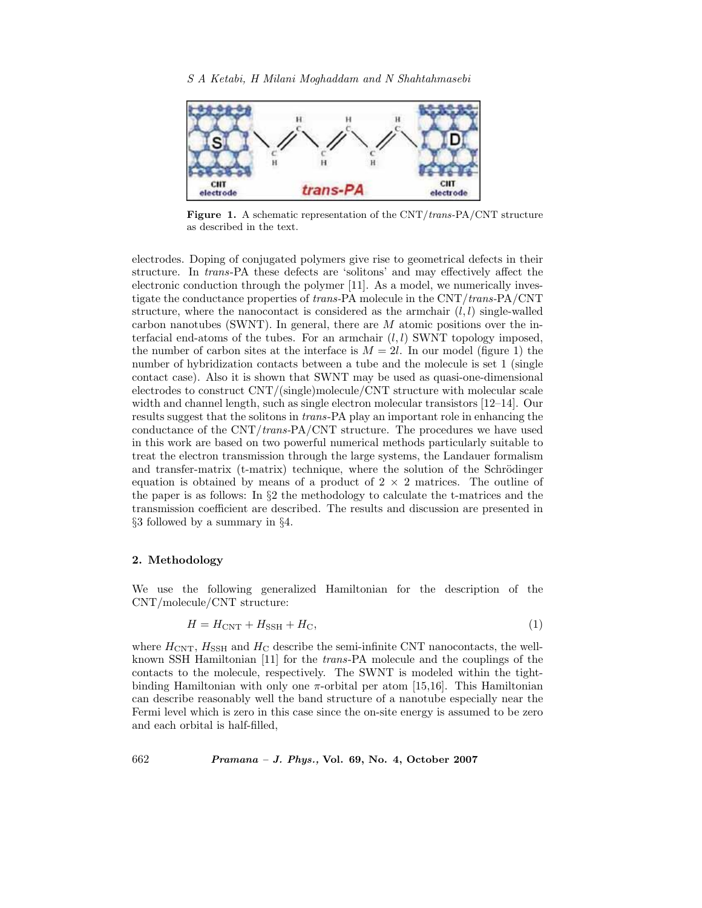

**Figure 1.** A schematic representation of the CNT/*trans-*PA/CNT structure as described in the text.

electrodes. Doping of conjugated polymers give rise to geometrical defects in their structure. In *trans*-PA these defects are 'solitons' and may effectively affect the electronic conduction through the polymer [11]. As a model, we numerically investigate the conductance properties of *trans-*PA molecule in the CNT/*trans-*PA/CNT structure, where the nanocontact is considered as the armchair  $(l, l)$  single-walled carbon nanotubes (SWNT). In general, there are  $M$  atomic positions over the interfacial end-atoms of the tubes. For an armchair  $(l, l)$  SWNT topology imposed, the number of carbon sites at the interface is  $M = 2l$ . In our model (figure 1) the number of hybridization contacts between a tube and the molecule is set 1 (single contact case). Also it is shown that SWNT may be used as quasi-one-dimensional electrodes to construct CNT/(single)molecule/CNT structure with molecular scale width and channel length, such as single electron molecular transistors [12–14]. Our results suggest that the solitons in *trans*-PA play an important role in enhancing the conductance of the CNT/*trans-*PA/CNT structure. The procedures we have used in this work are based on two powerful numerical methods particularly suitable to treat the electron transmission through the large systems, the Landauer formalism and transfer-matrix  $(t\text{-}matrix)$  technique, where the solution of the Schrödinger equation is obtained by means of a product of  $2 \times 2$  matrices. The outline of the paper is as follows: In §2 the methodology to calculate the t-matrices and the transmission coefficient are described. The results and discussion are presented in §3 followed by a summary in §4.

### **2. Methodology**

We use the following generalized Hamiltonian for the description of the CNT/molecule/CNT structure:

$$
H = H_{\rm CNT} + H_{\rm SSH} + H_{\rm C},\tag{1}
$$

where  $H_{\text{CNT}}$ ,  $H_{\text{SSH}}$  and  $H_{\text{C}}$  describe the semi-infinite CNT nanocontacts, the wellknown SSH Hamiltonian [11] for the *trans*-PA molecule and the couplings of the contacts to the molecule, respectively. The SWNT is modeled within the tightbinding Hamiltonian with only one  $\pi$ -orbital per atom [15,16]. This Hamiltonian can describe reasonably well the band structure of a nanotube especially near the Fermi level which is zero in this case since the on-site energy is assumed to be zero and each orbital is half-filled,

662 *Pramana – J. Phys.,* **Vol. 69, No. 4, October 2007**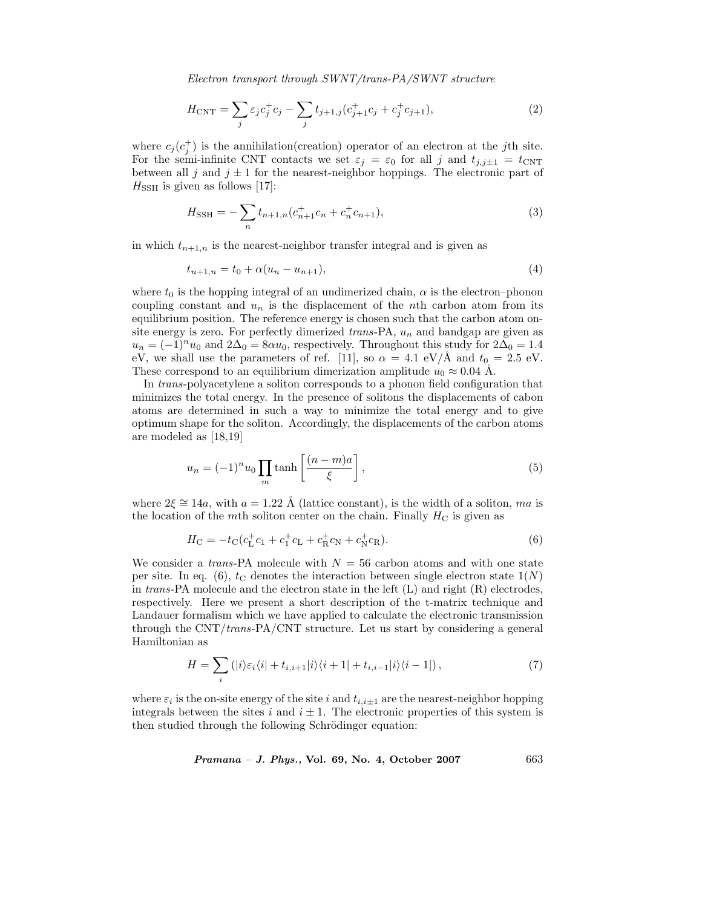*Electron transport through SWNT/trans-PA/SWNT structure*

$$
H_{\rm CNT} = \sum_{j} \varepsilon_j c_j^+ c_j - \sum_{j} t_{j+1,j} (c_{j+1}^+ c_j + c_j^+ c_{j+1}), \tag{2}
$$

where  $c_j(c_j^+)$  is the annihilation(creation) operator of an electron at the jth site. For the semi-infinite CNT contacts we set  $\varepsilon_j = \varepsilon_0$  for all j and  $t_{j,j\pm 1} = t_{\text{CNT}}$ between all j and  $j \pm 1$  for the nearest-neighbor hoppings. The electronic part of  $H_{\text{SSH}}$  is given as follows [17]:

$$
H_{\text{SSH}} = -\sum_{n} t_{n+1,n} (c_{n+1}^+ c_n + c_n^+ c_{n+1}),\tag{3}
$$

in which  $t_{n+1,n}$  is the nearest-neighbor transfer integral and is given as

$$
t_{n+1,n} = t_0 + \alpha (u_n - u_{n+1}),
$$
\n(4)

where  $t_0$  is the hopping integral of an undimerized chain,  $\alpha$  is the electron–phonon coupling constant and  $u_n$  is the displacement of the *n*th carbon atom from its equilibrium position. The reference energy is chosen such that the carbon atom onsite energy is zero. For perfectly dimerized *trans*-PA, u<sup>n</sup> and bandgap are given as  $u_n = (-1)^n u_0$  and  $2\Delta_0 = 8\alpha u_0$ , respectively. Throughout this study for  $2\Delta_0 = 1.4$ eV, we shall use the parameters of ref. [11], so  $\alpha = 4.1 \text{ eV/A}$  and  $t_0 = 2.5 \text{ eV}$ . These correspond to an equilibrium dimerization amplitude  $u_0 \approx 0.04$  Å.

In *trans*-polyacetylene a soliton corresponds to a phonon field configuration that minimizes the total energy. In the presence of solitons the displacements of cabon atoms are determined in such a way to minimize the total energy and to give optimum shape for the soliton. Accordingly, the displacements of the carbon atoms are modeled as [18,19]

$$
u_n = (-1)^n u_0 \prod_m \tanh\left[\frac{(n-m)a}{\xi}\right],\tag{5}
$$

where  $2\xi \cong 14a$ , with  $a = 1.22$  Å (lattice constant), is the width of a soliton, ma is the location of the mth soliton center on the chain. Finally  $H_C$  is given as

$$
H_{\rm C} = -t_{\rm C}(c_{\rm L}^+ c_1 + c_1^+ c_{\rm L} + c_{\rm R}^+ c_{\rm N} + c_{\rm N}^+ c_{\rm R}).\tag{6}
$$

We consider a *trans*-PA molecule with  $N = 56$  carbon atoms and with one state per site. In eq. (6),  $t_c$  denotes the interaction between single electron state  $1(N)$ in *trans*-PA molecule and the electron state in the left (L) and right (R) electrodes, respectively. Here we present a short description of the t-matrix technique and Landauer formalism which we have applied to calculate the electronic transmission through the CNT/*trans*-PA/CNT structure. Let us start by considering a general Hamiltonian as

$$
H = \sum_{i} (|i\rangle \varepsilon_i \langle i| + t_{i,i+1} |i\rangle \langle i+1| + t_{i,i-1} |i\rangle \langle i-1|) , \qquad (7)
$$

where  $\varepsilon_i$  is the on-site energy of the site i and  $t_{i,i\pm 1}$  are the nearest-neighbor hopping integrals between the sites i and  $i \pm 1$ . The electronic properties of this system is then studied through the following Schrödinger equation:

*Pramana – J. Phys.,* **Vol. 69, No. 4, October 2007** 663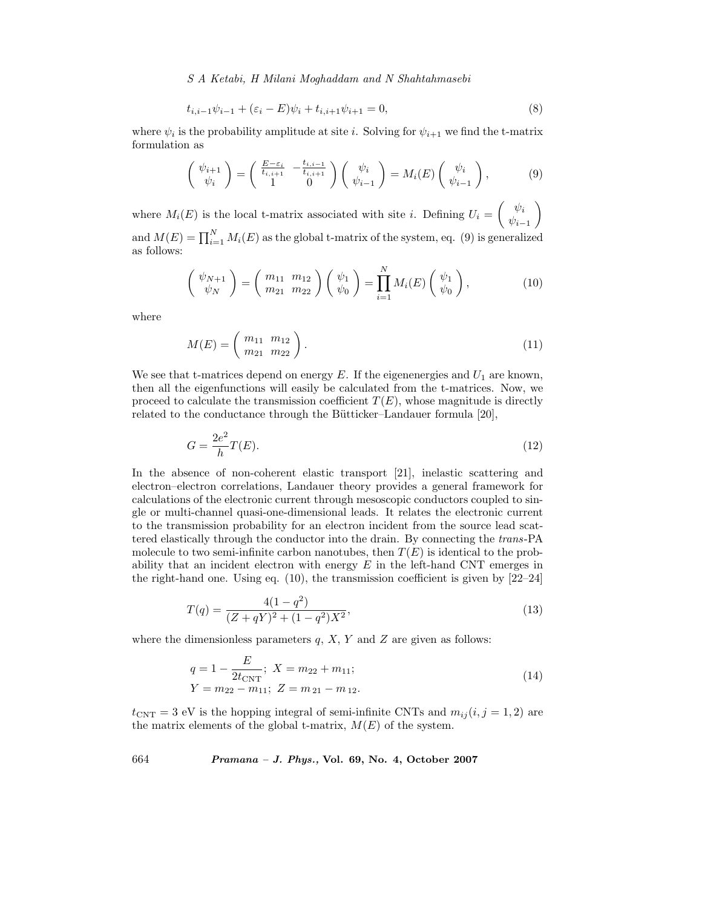*S A Ketabi, H Milani Moghaddam and N Shahtahmasebi*

$$
t_{i,i-1}\psi_{i-1} + (\varepsilon_i - E)\psi_i + t_{i,i+1}\psi_{i+1} = 0,
$$
\n(8)

where  $\psi_i$  is the probability amplitude at site i. Solving for  $\psi_{i+1}$  we find the t-matrix formulation as

$$
\begin{pmatrix} \psi_{i+1} \\ \psi_i \end{pmatrix} = \begin{pmatrix} \frac{E-\varepsilon_i}{t_{i,i+1}} & -\frac{t_{i,i-1}}{t_{i,i+1}} \\ 1 & 0 \end{pmatrix} \begin{pmatrix} \psi_i \\ \psi_{i-1} \end{pmatrix} = M_i(E) \begin{pmatrix} \psi_i \\ \psi_{i-1} \end{pmatrix},
$$
(9)

where  $M_i(E)$  is the local t-matrix associated with site *i*. Defining  $U_i = \begin{pmatrix} \psi_i \\ \psi_i \end{pmatrix}$  $\psi_{i-1}$  $\setminus$ and  $M(E) = \prod_{i=1}^{N} M_i(E)$  as the global t-matrix of the system, eq. (9) is generalized as follows:

$$
\begin{pmatrix} \psi_{N+1} \\ \psi_N \end{pmatrix} = \begin{pmatrix} m_{11} & m_{12} \\ m_{21} & m_{22} \end{pmatrix} \begin{pmatrix} \psi_1 \\ \psi_0 \end{pmatrix} = \prod_{i=1}^N M_i(E) \begin{pmatrix} \psi_1 \\ \psi_0 \end{pmatrix}, \tag{10}
$$

where

$$
M(E) = \left(\begin{array}{c} m_{11} & m_{12} \\ m_{21} & m_{22} \end{array}\right). \tag{11}
$$

We see that t-matrices depend on energy E. If the eigenenergies and  $U_1$  are known, then all the eigenfunctions will easily be calculated from the t-matrices. Now, we proceed to calculate the transmission coefficient  $T(E)$ , whose magnitude is directly related to the conductance through the Bütticker–Landauer formula  $[20]$ ,

$$
G = \frac{2e^2}{h}T(E). \tag{12}
$$

In the absence of non-coherent elastic transport [21], inelastic scattering and electron–electron correlations, Landauer theory provides a general framework for calculations of the electronic current through mesoscopic conductors coupled to single or multi-channel quasi-one-dimensional leads. It relates the electronic current to the transmission probability for an electron incident from the source lead scattered elastically through the conductor into the drain. By connecting the *trans*-PA molecule to two semi-infinite carbon nanotubes, then  $T(E)$  is identical to the probability that an incident electron with energy  $E$  in the left-hand CNT emerges in the right-hand one. Using eq. (10), the transmission coefficient is given by [22–24]

$$
T(q) = \frac{4(1-q^2)}{(Z+qY)^2 + (1-q^2)X^2},\tag{13}
$$

where the dimensionless parameters  $q$ ,  $X$ ,  $Y$  and  $Z$  are given as follows:

$$
q = 1 - \frac{E}{2t_{\text{CNT}}}; \ X = m_{22} + m_{11};
$$
  
 
$$
Y = m_{22} - m_{11}; \ Z = m_{21} - m_{12}.
$$
 (14)

 $t_{\text{CNT}} = 3$  eV is the hopping integral of semi-infinite CNTs and  $m_{ij} (i, j = 1, 2)$  are the matrix elements of the global t-matrix,  $M(E)$  of the system.

664 *Pramana – J. Phys.,* **Vol. 69, No. 4, October 2007**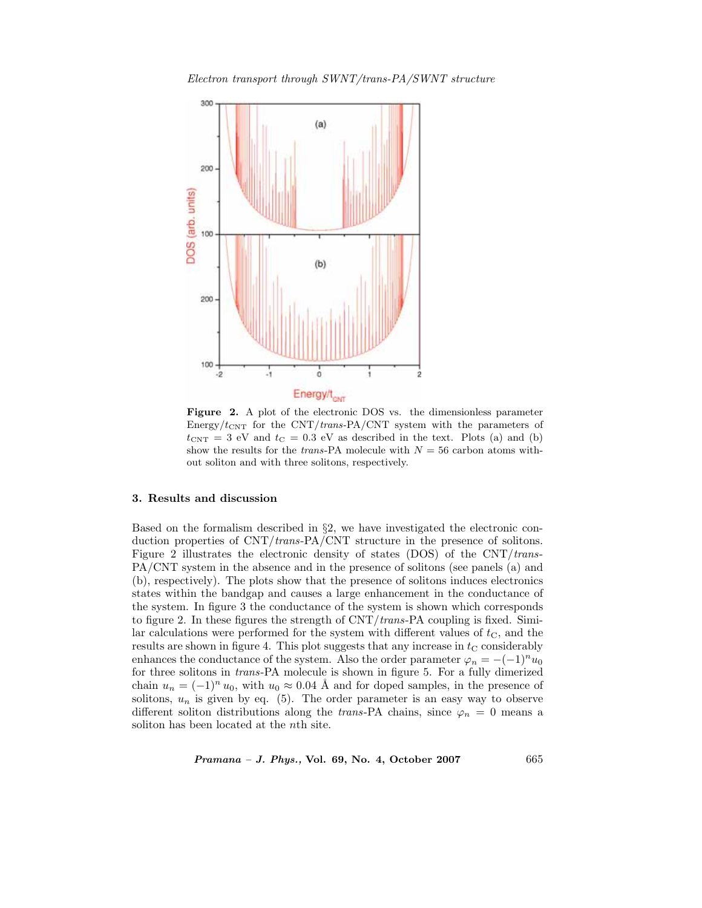*Electron transport through SWNT/trans-PA/SWNT structure*



**Figure 2.** A plot of the electronic DOS vs. the dimensionless parameter Energy/ $t_{\text{CNT}}$  for the CNT/*trans-PA*/CNT system with the parameters of  $t_{\text{CNT}} = 3$  eV and  $t_{\text{C}} = 0.3$  eV as described in the text. Plots (a) and (b) show the results for the *trans*-PA molecule with  $N = 56$  carbon atoms without soliton and with three solitons, respectively.

# **3. Results and discussion**

Based on the formalism described in §2, we have investigated the electronic conduction properties of CNT/*trans*-PA/CNT structure in the presence of solitons. Figure 2 illustrates the electronic density of states (DOS) of the CNT/*trans*-PA/CNT system in the absence and in the presence of solitons (see panels (a) and (b), respectively). The plots show that the presence of solitons induces electronics states within the bandgap and causes a large enhancement in the conductance of the system. In figure 3 the conductance of the system is shown which corresponds to figure 2. In these figures the strength of CNT/*trans*-PA coupling is fixed. Similar calculations were performed for the system with different values of  $t<sub>C</sub>$ , and the results are shown in figure 4. This plot suggests that any increase in  $t<sub>C</sub>$  considerably enhances the conductance of the system. Also the order parameter  $\varphi_n = -(-1)^n u_0$ for three solitons in *trans*-PA molecule is shown in figure 5. For a fully dimerized chain  $u_n = (-1)^n u_0$ , with  $u_0 \approx 0.04$  Å and for doped samples, in the presence of solitons,  $u_n$  is given by eq. (5). The order parameter is an easy way to observe different soliton distributions along the *trans*-PA chains, since  $\varphi_n = 0$  means a soliton has been located at the nth site.

*Pramana – J. Phys.,* **Vol. 69, No. 4, October 2007** 665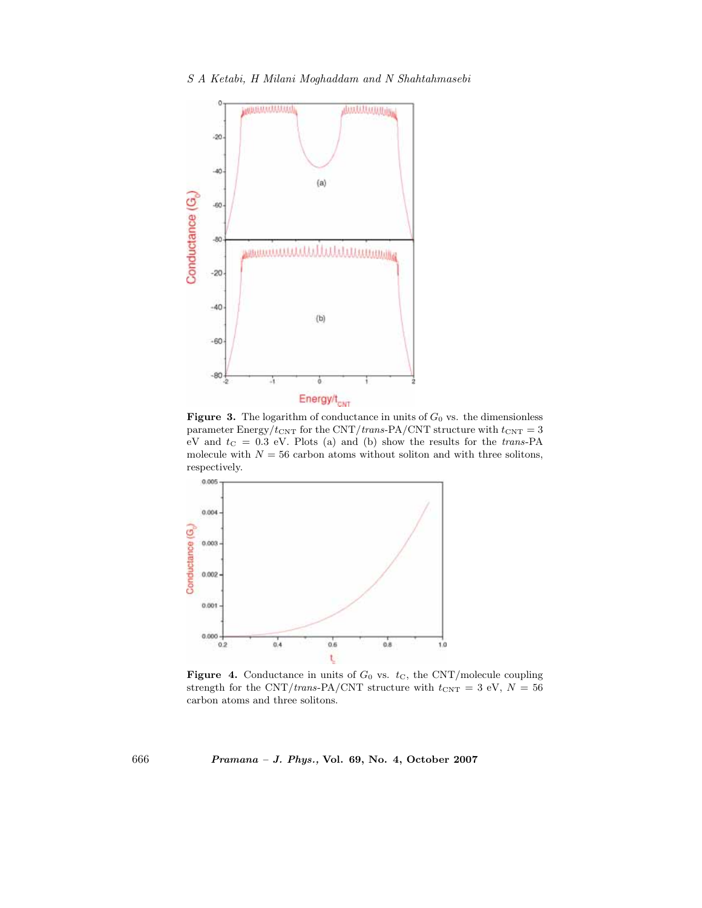*S A Ketabi, H Milani Moghaddam and N Shahtahmasebi*



**Figure 3.** The logarithm of conductance in units of  $G_0$  vs. the dimensionless parameter Energy/ $t_{\text{CNT}}$  for the CNT/*trans-PA*/CNT structure with  $t_{\text{CNT}} = 3$ eV and  $t_C = 0.3$  eV. Plots (a) and (b) show the results for the *trans*-PA molecule with  $N = 56$  carbon atoms without soliton and with three solitons, respectively.



**Figure 4.** Conductance in units of  $G_0$  vs.  $t<sub>C</sub>$ , the CNT/molecule coupling strength for the CNT/*trans*-PA/CNT structure with  $t_{\text{CNT}} = 3$  eV,  $N = 56$ carbon atoms and three solitons.

666 *Pramana – J. Phys.,* **Vol. 69, No. 4, October 2007**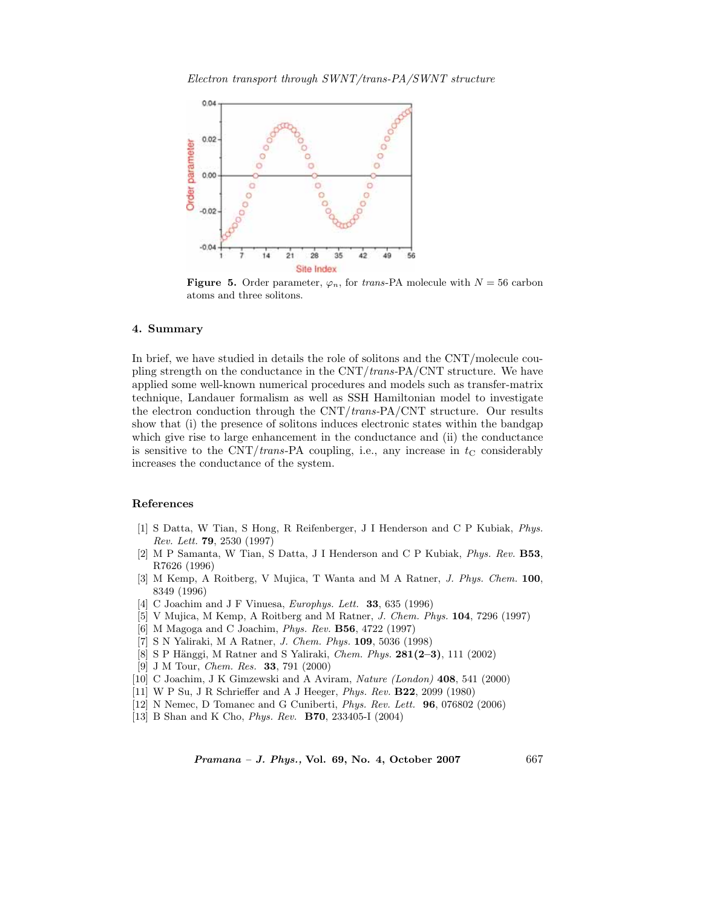

**Figure 5.** Order parameter,  $\varphi_n$ , for *trans*-PA molecule with  $N = 56$  carbon atoms and three solitons.

#### **4. Summary**

In brief, we have studied in details the role of solitons and the CNT/molecule coupling strength on the conductance in the CNT/*trans-*PA/CNT structure. We have applied some well-known numerical procedures and models such as transfer-matrix technique, Landauer formalism as well as SSH Hamiltonian model to investigate the electron conduction through the CNT/*trans-*PA/CNT structure. Our results show that (i) the presence of solitons induces electronic states within the bandgap which give rise to large enhancement in the conductance and (ii) the conductance is sensitive to the  $\text{CNT}/\text{trans-PA}$  coupling, i.e., any increase in  $t_{\text{C}}$  considerably increases the conductance of the system.

## **References**

- [1] S Datta, W Tian, S Hong, R Reifenberger, J I Henderson and C P Kubiak, *Phys. Rev. Lett.* **79**, 2530 (1997)
- [2] M P Samanta, W Tian, S Datta, J I Henderson and C P Kubiak, *Phys. Rev.* **B53**, R7626 (1996)
- [3] M Kemp, A Roitberg, V Mujica, T Wanta and M A Ratner, *J. Phys. Chem.* **100**, 8349 (1996)
- [4] C Joachim and J F Vinuesa, *Europhys. Lett.* **33**, 635 (1996)
- [5] V Mujica, M Kemp, A Roitberg and M Ratner, *J. Chem. Phys.* **104**, 7296 (1997)
- [6] M Magoga and C Joachim, *Phys. Rev.* **B56**, 4722 (1997)
- [7] S N Yaliraki, M A Ratner, *J. Chem. Phys.* **109**, 5036 (1998)
- [8] S P Hänggi, M Ratner and S Yaliraki, *Chem. Phys.* **281(2–3)**, 111 (2002)
- [9] J M Tour, *Chem. Res.* **33**, 791 (2000)
- [10] C Joachim, J K Gimzewski and A Aviram, *Nature (London)* **408**, 541 (2000)
- [11] W P Su, J R Schrieffer and A J Heeger, *Phys. Rev.* **B22**, 2099 (1980)
- [12] N Nemec, D Tomanec and G Cuniberti, *Phys. Rev. Lett.* **96**, 076802 (2006)
- [13] B Shan and K Cho, *Phys. Rev.* **B70**, 233405-I (2004)

*Pramana – J. Phys.,* **Vol. 69, No. 4, October 2007** 667